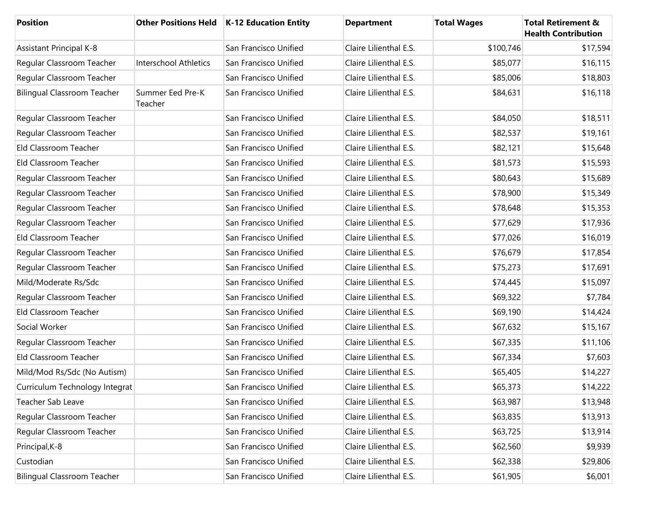| <b>Position</b>                    |                              | Other Positions Held   K-12 Education Entity | <b>Department</b>      | <b>Total Wages</b> | <b>Total Retirement &amp;</b><br><b>Health Contribution</b> |
|------------------------------------|------------------------------|----------------------------------------------|------------------------|--------------------|-------------------------------------------------------------|
| Assistant Principal K-8            |                              | San Francisco Unified                        | Claire Lilienthal E.S. | \$100,746          | \$17,594                                                    |
| Regular Classroom Teacher          | <b>Interschool Athletics</b> | San Francisco Unified                        | Claire Lilienthal E.S. | \$85,077           | \$16,115                                                    |
| Regular Classroom Teacher          |                              | San Francisco Unified                        | Claire Lilienthal E.S. | \$85,006           | \$18,803                                                    |
| <b>Bilingual Classroom Teacher</b> | Summer Eed Pre-K<br>Teacher  | San Francisco Unified                        | Claire Lilienthal E.S. | \$84,631           | \$16,118                                                    |
| Regular Classroom Teacher          |                              | San Francisco Unified                        | Claire Lilienthal E.S. | \$84,050           | \$18,511                                                    |
| Regular Classroom Teacher          |                              | San Francisco Unified                        | Claire Lilienthal E.S. | \$82,537           | \$19,161                                                    |
| Eld Classroom Teacher              |                              | San Francisco Unified                        | Claire Lilienthal E.S. | \$82,121           | \$15,648                                                    |
| Eld Classroom Teacher              |                              | San Francisco Unified                        | Claire Lilienthal E.S. | \$81,573           | \$15,593                                                    |
| Regular Classroom Teacher          |                              | San Francisco Unified                        | Claire Lilienthal E.S. | \$80,643           | \$15,689                                                    |
| Regular Classroom Teacher          |                              | San Francisco Unified                        | Claire Lilienthal E.S. | \$78,900           | \$15,349                                                    |
| Regular Classroom Teacher          |                              | San Francisco Unified                        | Claire Lilienthal E.S. | \$78,648           | \$15,353                                                    |
| Regular Classroom Teacher          |                              | San Francisco Unified                        | Claire Lilienthal E.S. | \$77,629           | \$17,936                                                    |
| Eld Classroom Teacher              |                              | San Francisco Unified                        | Claire Lilienthal E.S. | \$77,026           | \$16,019                                                    |
| Regular Classroom Teacher          |                              | San Francisco Unified                        | Claire Lilienthal E.S. | \$76,679           | \$17,854                                                    |
| Regular Classroom Teacher          |                              | San Francisco Unified                        | Claire Lilienthal E.S. | \$75,273           | \$17,691                                                    |
| Mild/Moderate Rs/Sdc               |                              | San Francisco Unified                        | Claire Lilienthal E.S. | \$74,445           | \$15,097                                                    |
| Regular Classroom Teacher          |                              | San Francisco Unified                        | Claire Lilienthal E.S. | \$69,322           | \$7,784                                                     |
| Eld Classroom Teacher              |                              | San Francisco Unified                        | Claire Lilienthal E.S. | \$69,190           | \$14,424                                                    |
| Social Worker                      |                              | San Francisco Unified                        | Claire Lilienthal E.S. | \$67,632           | \$15,167                                                    |
| Regular Classroom Teacher          |                              | San Francisco Unified                        | Claire Lilienthal E.S. | \$67,335           | \$11,106                                                    |
| Eld Classroom Teacher              |                              | San Francisco Unified                        | Claire Lilienthal E.S. | \$67,334           | \$7,603                                                     |
| Mild/Mod Rs/Sdc (No Autism)        |                              | San Francisco Unified                        | Claire Lilienthal E.S. | \$65,405           | \$14,227                                                    |
| Curriculum Technology Integrat     |                              | San Francisco Unified                        | Claire Lilienthal E.S. | \$65,373           | \$14,222                                                    |
| Teacher Sab Leave                  |                              | San Francisco Unified                        | Claire Lilienthal E.S. | \$63,987           | \$13,948                                                    |
| Regular Classroom Teacher          |                              | San Francisco Unified                        | Claire Lilienthal E.S. | \$63,835           | \$13,913                                                    |
| Regular Classroom Teacher          |                              | San Francisco Unified                        | Claire Lilienthal E.S. | \$63,725           | \$13,914                                                    |
| Principal, K-8                     |                              | San Francisco Unified                        | Claire Lilienthal E.S. | \$62,560           | \$9,939                                                     |
| Custodian                          |                              | San Francisco Unified                        | Claire Lilienthal E.S. | \$62,338           | \$29,806                                                    |
| <b>Bilingual Classroom Teacher</b> |                              | San Francisco Unified                        | Claire Lilienthal E.S. | \$61,905           | \$6,001                                                     |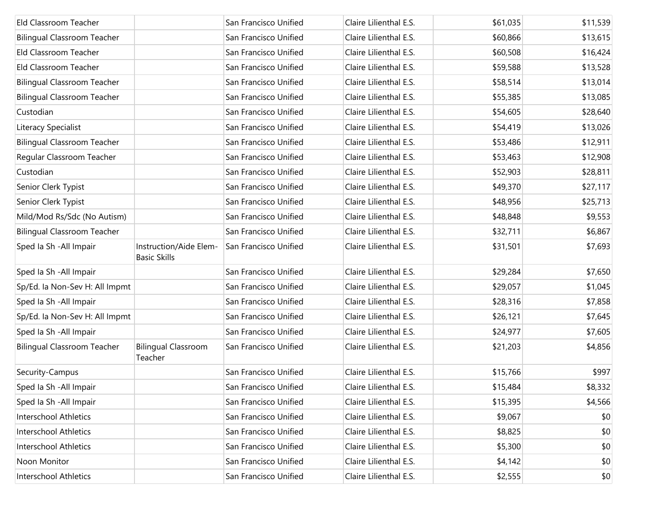| Eld Classroom Teacher              |                                               | San Francisco Unified | Claire Lilienthal E.S. | \$61,035 | \$11,539 |
|------------------------------------|-----------------------------------------------|-----------------------|------------------------|----------|----------|
| <b>Bilingual Classroom Teacher</b> |                                               | San Francisco Unified | Claire Lilienthal E.S. | \$60,866 | \$13,615 |
| Eld Classroom Teacher              |                                               | San Francisco Unified | Claire Lilienthal E.S. | \$60,508 | \$16,424 |
| Eld Classroom Teacher              |                                               | San Francisco Unified | Claire Lilienthal E.S. | \$59,588 | \$13,528 |
| <b>Bilingual Classroom Teacher</b> |                                               | San Francisco Unified | Claire Lilienthal E.S. | \$58,514 | \$13,014 |
| <b>Bilingual Classroom Teacher</b> |                                               | San Francisco Unified | Claire Lilienthal E.S. | \$55,385 | \$13,085 |
| Custodian                          |                                               | San Francisco Unified | Claire Lilienthal E.S. | \$54,605 | \$28,640 |
| Literacy Specialist                |                                               | San Francisco Unified | Claire Lilienthal E.S. | \$54,419 | \$13,026 |
| <b>Bilingual Classroom Teacher</b> |                                               | San Francisco Unified | Claire Lilienthal E.S. | \$53,486 | \$12,911 |
| Regular Classroom Teacher          |                                               | San Francisco Unified | Claire Lilienthal E.S. | \$53,463 | \$12,908 |
| Custodian                          |                                               | San Francisco Unified | Claire Lilienthal E.S. | \$52,903 | \$28,811 |
| Senior Clerk Typist                |                                               | San Francisco Unified | Claire Lilienthal E.S. | \$49,370 | \$27,117 |
| Senior Clerk Typist                |                                               | San Francisco Unified | Claire Lilienthal E.S. | \$48,956 | \$25,713 |
| Mild/Mod Rs/Sdc (No Autism)        |                                               | San Francisco Unified | Claire Lilienthal E.S. | \$48,848 | \$9,553  |
| <b>Bilingual Classroom Teacher</b> |                                               | San Francisco Unified | Claire Lilienthal E.S. | \$32,711 | \$6,867  |
| Sped Ia Sh - All Impair            | Instruction/Aide Elem-<br><b>Basic Skills</b> | San Francisco Unified | Claire Lilienthal E.S. | \$31,501 | \$7,693  |
| Sped Ia Sh - All Impair            |                                               | San Francisco Unified | Claire Lilienthal E.S. | \$29,284 | \$7,650  |
| Sp/Ed. la Non-Sev H: All Impmt     |                                               | San Francisco Unified | Claire Lilienthal E.S. | \$29,057 | \$1,045  |
| Sped Ia Sh - All Impair            |                                               | San Francisco Unified | Claire Lilienthal E.S. | \$28,316 | \$7,858  |
| Sp/Ed. la Non-Sev H: All Impmt     |                                               | San Francisco Unified | Claire Lilienthal E.S. | \$26,121 | \$7,645  |
| Sped Ia Sh - All Impair            |                                               | San Francisco Unified | Claire Lilienthal E.S. | \$24,977 | \$7,605  |
| <b>Bilingual Classroom Teacher</b> | <b>Bilingual Classroom</b><br>Teacher         | San Francisco Unified | Claire Lilienthal E.S. | \$21,203 | \$4,856  |
| Security-Campus                    |                                               | San Francisco Unified | Claire Lilienthal E.S. | \$15,766 | \$997    |
| Sped Ia Sh - All Impair            |                                               | San Francisco Unified | Claire Lilienthal E.S. | \$15,484 | \$8,332  |
| Sped Ia Sh - All Impair            |                                               | San Francisco Unified | Claire Lilienthal E.S. | \$15,395 | \$4,566  |
| Interschool Athletics              |                                               | San Francisco Unified | Claire Lilienthal E.S. | \$9,067  | \$0      |
| Interschool Athletics              |                                               | San Francisco Unified | Claire Lilienthal E.S. | \$8,825  | \$0      |
| <b>Interschool Athletics</b>       |                                               | San Francisco Unified | Claire Lilienthal E.S. | \$5,300  | \$0      |
| Noon Monitor                       |                                               | San Francisco Unified | Claire Lilienthal E.S. | \$4,142  | \$0      |
| Interschool Athletics              |                                               | San Francisco Unified | Claire Lilienthal E.S. | \$2,555  | \$0      |